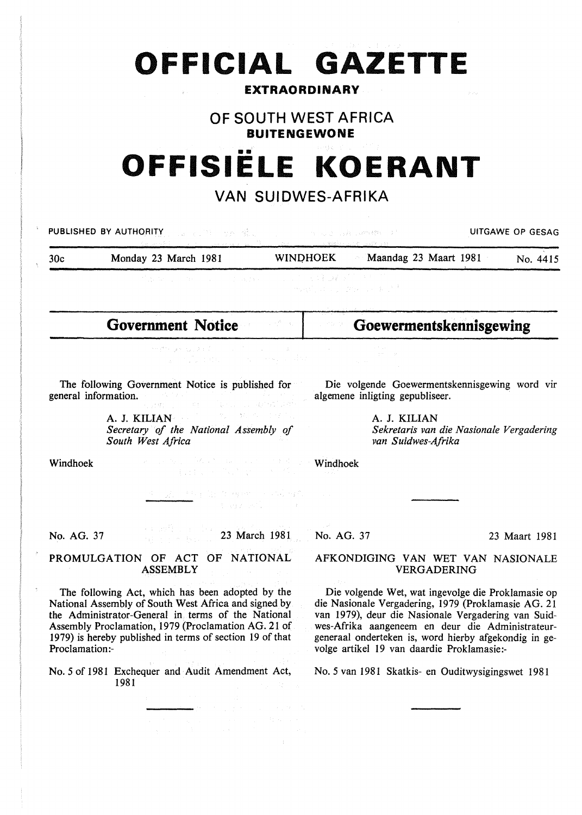## **OFFICIAL GAZETTE**

## **EXTRAORDINARY**

 $\sim 400$ 

 $\bar{\lambda}$ 

 $\rightarrow$ 

## **OF SOUTH WEST AFRICA BUITENGEWONE**

# •• **OFFISIELE KOERANT**

## **VAN SUIDWES-AFRIKA**

|                                                                                                                                                                                                                                                                                                     | PUBLISHED BY AUTHORITY of the service of the service in the service of the service of the                                                                                                                                                                |                                                         |                                                                                                                                                                                                                                                                                                                             | UITGAWE OP GESAG |  |
|-----------------------------------------------------------------------------------------------------------------------------------------------------------------------------------------------------------------------------------------------------------------------------------------------------|----------------------------------------------------------------------------------------------------------------------------------------------------------------------------------------------------------------------------------------------------------|---------------------------------------------------------|-----------------------------------------------------------------------------------------------------------------------------------------------------------------------------------------------------------------------------------------------------------------------------------------------------------------------------|------------------|--|
| 30c                                                                                                                                                                                                                                                                                                 | Monday 23 March 1981                                                                                                                                                                                                                                     |                                                         | WINDHOEK Maandag 23 Maart 1981                                                                                                                                                                                                                                                                                              | No. 4415         |  |
|                                                                                                                                                                                                                                                                                                     | Market Domestic Communication of the Communication                                                                                                                                                                                                       |                                                         | installation and the context?                                                                                                                                                                                                                                                                                               |                  |  |
| Government Notice and Society                                                                                                                                                                                                                                                                       |                                                                                                                                                                                                                                                          | Goewermentskennisgewing                                 |                                                                                                                                                                                                                                                                                                                             |                  |  |
|                                                                                                                                                                                                                                                                                                     | かけた ションスパート アール<br>$\mathcal{L}(\mathcal{A})$ , and $\mathcal{L}(\mathcal{A})$<br>We have a state of the state of the                                                                                                                                    |                                                         |                                                                                                                                                                                                                                                                                                                             |                  |  |
| The following Government Notice is published for<br>general information.<br><sup>3</sup> nome are the local community                                                                                                                                                                               |                                                                                                                                                                                                                                                          |                                                         | Die volgende Goewermentskennisgewing word vir<br>algemene inligting gepubliseer.                                                                                                                                                                                                                                            |                  |  |
|                                                                                                                                                                                                                                                                                                     | A. J. KILIAN AND THE SERVICE REPORT<br>Secretary of the National Assembly of<br>South West Africa                                                                                                                                                        |                                                         | A. J. KILIAN<br>Sekretaris van die Nasionale Vergadering<br>van Suidwes-Afrika                                                                                                                                                                                                                                              |                  |  |
| Windhoek                                                                                                                                                                                                                                                                                            | and the State State and State and State Windhoek<br>(一般自己), "是'天'一天'                                                                                                                                                                                     |                                                         |                                                                                                                                                                                                                                                                                                                             |                  |  |
|                                                                                                                                                                                                                                                                                                     | (2) 不同的是否的 医病毒性 (1)<br>a shekara na katika matsayin na katika matsayin na katika matsayin na katika matsayin na katika matsayin na ka<br>Matsayin na katika matsayin na katika matsayin na katika matsayin na katika matsayin na katika matsayin na kati |                                                         |                                                                                                                                                                                                                                                                                                                             |                  |  |
| No. AG. 37                                                                                                                                                                                                                                                                                          | (中国第1991年)<br>23 March 1981 No. AG. 37                                                                                                                                                                                                                   |                                                         |                                                                                                                                                                                                                                                                                                                             | 23 Maart 1981    |  |
| PROMULGATION OF ACT OF NATIONAL<br><b>ASSEMBLY</b>                                                                                                                                                                                                                                                  |                                                                                                                                                                                                                                                          | AFKONDIGING VAN WET VAN NASIONALE<br><b>VERGADERING</b> |                                                                                                                                                                                                                                                                                                                             |                  |  |
| The following Act, which has been adopted by the<br>National Assembly of South West Africa and signed by<br>the Administrator-General in terms of the National<br>Assembly Proclamation, 1979 (Proclamation AG. 21 of<br>1979) is hereby published in terms of section 19 of that<br>Proclamation:- |                                                                                                                                                                                                                                                          |                                                         | Die volgende Wet, wat ingevolge die Proklamasie op<br>die Nasionale Vergadering, 1979 (Proklamasie AG. 21<br>van 1979), deur die Nasionale Vergadering van Suid-<br>wes-Afrika aangeneem en deur die Administrateur-<br>generaal onderteken is, word hierby afgekondig in ge-<br>volge artikel 19 van daardie Proklamasie:- |                  |  |
|                                                                                                                                                                                                                                                                                                     | No. 5 of 1981 Exchequer and Audit Amendment Act,<br>1981                                                                                                                                                                                                 |                                                         | No. 5 van 1981 Skatkis- en Ouditwysigingswet 1981                                                                                                                                                                                                                                                                           |                  |  |
|                                                                                                                                                                                                                                                                                                     | いっとう コード・マン                                                                                                                                                                                                                                              |                                                         |                                                                                                                                                                                                                                                                                                                             |                  |  |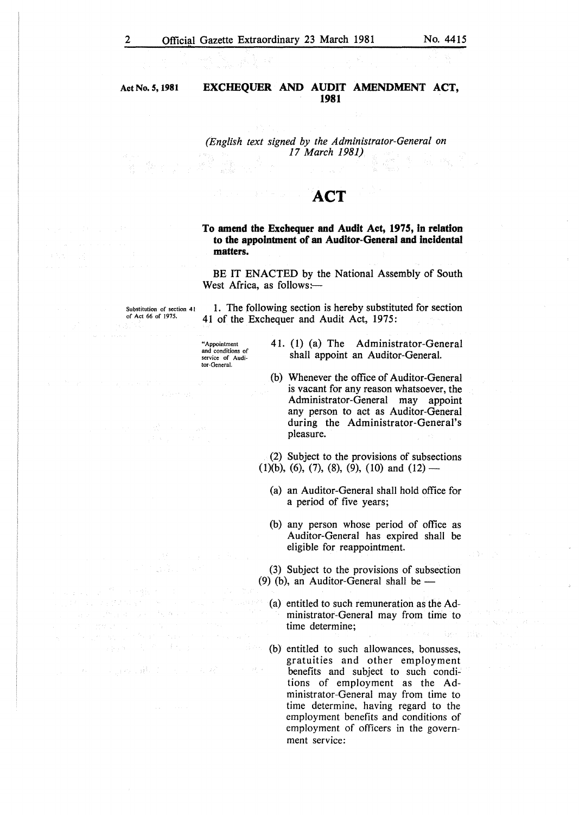Act No.5, 1981

#### EXCHEQUER AND AUDIT AMENDMENT ACT, 1981

#### *(English text signed by the Administrator-General on 17 March 1981)*

## **ACT**

#### To amend the Exchequer and Audit Act, 1975, In relation to the appointment of an Auditor-General and Incidental matters.

BE IT ENACTED by the National Assembly of South West Africa, as follows:-

1. The following section is hereby substituted for section

Substitution of section 41 of Act 66 of !975. 41 of the Exchequer and Audit Act, 1975:

 $\mathcal{L}(\mathcal{L}_{\mathcal{F}}) = \mathcal{L}(\mathcal{L}_{\mathcal{F}}) \mathcal{L}(\mathcal{L}_{\mathcal{F}}) \mathcal{L}(\mathcal{L}_{\mathcal{F}}) = \mathcal{L}(\mathcal{H})$ 

(A) South Search (A) (A) (A)

 $\lambda_{\rm{G}}/\eta_{\rm{c}}$ 

"Appointment and conditions of service of Auditor-General.

- 41. (1) (a) The Administrator-General shall appoint an Auditor-General.
	- (b) Whenever the office of Auditor-General is vacant for any reason whatsoever, the Administrator-General may appoint any person to act as Auditor-General during the Administrator-General's pleasure.

(2) Subject to the provisions of subsections  $(1)(b)$ ,  $(6)$ ,  $(7)$ ,  $(8)$ ,  $(9)$ ,  $(10)$  and  $(12)$  —

- (a) an Auditor-General shall hold office for a period of five years;
- (b) any person whose period of office as Auditor-General has expired shall be eligible for reappointment.
- (3) Subject to the provisions of subsection (9) (b), an Auditor-General shall be  $-$ 
	- (a) entitled to such remuneration as the Administrator-General may from time to time determine;
	- (b) entitled to such allowances, bonusses, gratuities and other employment benefits and subject to such conditions of employment as the Administrator-General may from time to time determine, having regard to the employment benefits and conditions of employment of officers in the government service: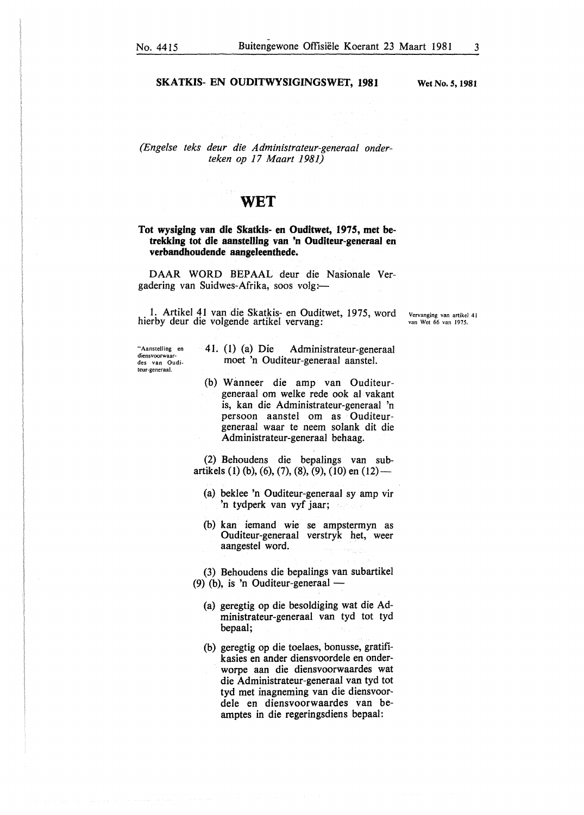#### SKATKIS- EN OUDITWYSIGINGSWET, 1981 Wet No. 5, 1981

#### *(Engelse teks deur die Administrateur-generaal onderteken op 17 Maart 1981)*

### WET

#### Tot wysiging van die Skatkis- en Ouditwet, 1975, met betrekking tot die aanstelling van 'n Ouditeur-generaal en verbandhoudende aangeleenthede.

DAAR WORD BEPAAL deur die Nasionale Vergadering van Suidwes-Afrika, soos volg:

1. Artikel 41 van die Skatkis- en Ouditwet, 1975, word vervanging van artikel 41 van die volgende artikel vervang: hierby deur die volgende artikel vervang:

.. Aanstelling en diensvoorwaar-des van Ouditeur-generaal.

- 41. (1) (a) Die Administrateur-generaal moet 'n Ouditeur-generaal aanstel.
- (b) Wanneer die amp van Ouditeurgeneraal om welke rede ook al vakant is, kan die Administrateur-generaal 'n persoon aanstel om as Ouditeurgeneraal waar te neem solank dit die Administrateur-generaal behaag.

(2) Behoudens die bepalings van subartikels (1) (b), (6), (7), (8), (9), (10) en  $(12)$ —

- (a) beklee 'n Ouditeur-generaal sy amp vir 'n tydperk van vyf jaar;
- (b) kan iemand wie se ampstermyn as Ouditeur-generaal verstryk het, weer aangestel word.

(3) Behoudens die bepalings van subartikel (9) (b), is 'n Ouditeur-generaal  $-$ 

- (a) geregtig op die besoldiging wat die Administrateur-generaal van tyd tot tyd bepaal;
- (b) geregtig op die toelaes, bonusse, gratifikasies en ander diensvoordele en onderworpe aan die diensvoorwaardes wat die Administrateur-generaal van tyd tot tyd met inagneming van die diensvoordele en diensvoorwaardes van beamptes in die regeringsdiens bepaal: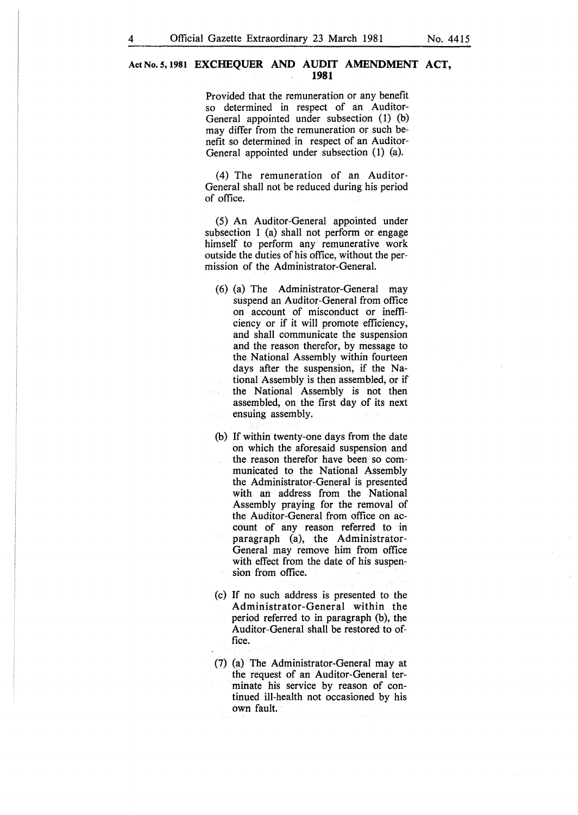#### Act No.5, **1981 EXCHEQUER AND AUDIT AMENDMENT ACT, 1981**

Provided that the remuneration or any benefit so determined in respect of an Auditor-General appointed under subsection (1) (b) may differ from the remuneration or such benefit so determined in respect of an Auditor-General appointed under subsection (1) (a).

(4) The remuneration of an Auditor-General shall not be reduced during his period of office.

(5) An Auditor-General appointed under subsection 1 (a) shall not perform or engage himself to perform any remunerative work outside the duties of his office, without the permission of the Administrator-General.

- (6) (a) The Administrator-General may suspend an Auditor-General from office on account of misconduct or inefficiency or if it will promote efficiency, and shall communicate the suspension and the reason therefor, by message to the National Assembly within fourteen days after the suspension, if the National Assembly is then assembled, or if the National Assembly is not then assembled, on the first day of its next ensuing assembly.
- (b) If within twenty-one days from the date on which the aforesaid suspension and the reason therefor have been so communicated to the National Assembly the Administrator-General is presented with an address from the National Assembly praying for the removal of the Auditor-General from office on account of any reason referred to in paragraph (a), the Administrator-General may remove him from office with effect from the date of his suspension from office.
- (c) If no such address is presented to the Administrator-General within the period referred to in paragraph (b), the Auditor-General shall be restored to office.
- (7) (a) The Administrator-General may at the request of an Auditor-General terminate his service by reason of continued ill-health not occasioned by his own fault.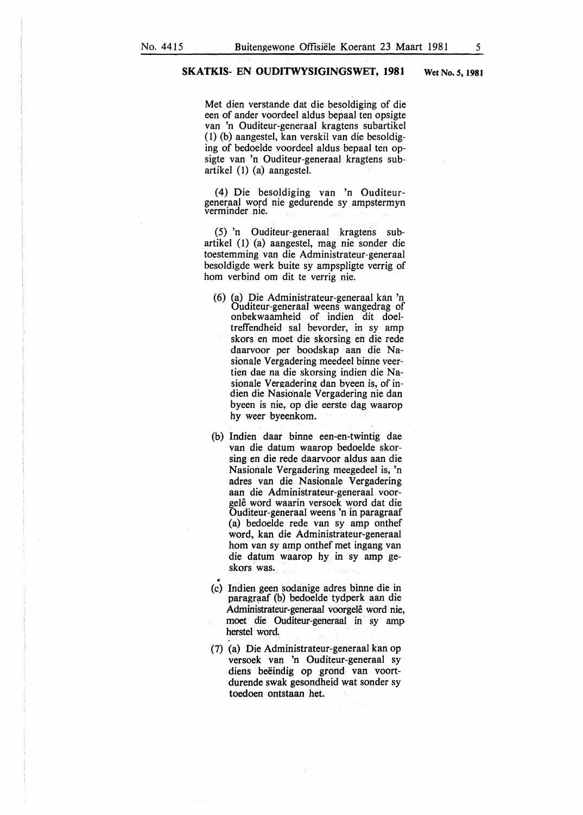#### SKATKIS- EN OUDITWYSIGINGSWET, 1981

Wet No.5, 1981

Met dien verstande dat die besoldiging of die een of ander voordeel aldus bepaal ten opsigte van 'n Ouditeur-generaal kragtens subartikel (I) (b) aangestel, kan verskil van die besoldiging of bedoelde voordeel aldus bepaal ten opsigte van 'n Ouditeur-generaal kragtens subartikel (1) (a) aangestel.

(4) Die besoldiging van 'n Ouditeurgeneraal word nie gedurende sy ampstermyn verminder nie.

(5) 'n Ouditeur-generaal kragtens subartikel (1) (a) aangestel, mag nie sonder die toestemming van die Administrateur-generaal besoldigde werk buite sy ampspligte verrig of hom verbind om dit te verrig nie.

- (6) (a) Die Administrateur-generaal kan 'n Ouditeur-generaal weens wangedrag of onbekwaamheid of indien dit doel~ treffendheid sal bevorder, in sy amp skors en moet die skorsing en die rede daarvoor per boodskap aan die Nasionale Vergadering meedeel binne veertien dae na die skorsing indien die Nasionale Vergadering dan bveen is, of indien die Nasionale Vergadering nie dan byeen is nie, op die eerste dag waarop hy weer byeenkom.
- (b) Indien daar binne een-en-twintig dae van die datum waarop bedoelde skorsing en die rede daarvoor aldus aan die Nasionale Vergadering meegedeel is, 'n adres van die Nasionale Vergadering aan die Administrateur-generaal voorgele word waarin versoek word dat die Ouditeur-generaal weens 'n in paragraaf (a) bedoelde rede van sy amp onthef word, kan die Administrateur-generaal hom van sy amp onthef met ingang van die datum waarop hy in sy amp geskors was.
- (c) Indien geen sodanige adres binne die in paragraaf (b) bedoelde tydperk aan die Administrateur-generaal voorgelê word nie, moet die Ouditeur-generaal in sy amp herstel word.
- (7) (a) Die Administrateur-generaal kan op versoek van 'n Ouditeur-generaal sy diens beëindig op grond van voortdurende swak gesondheid wat sonder sy toedoen ontstaan het.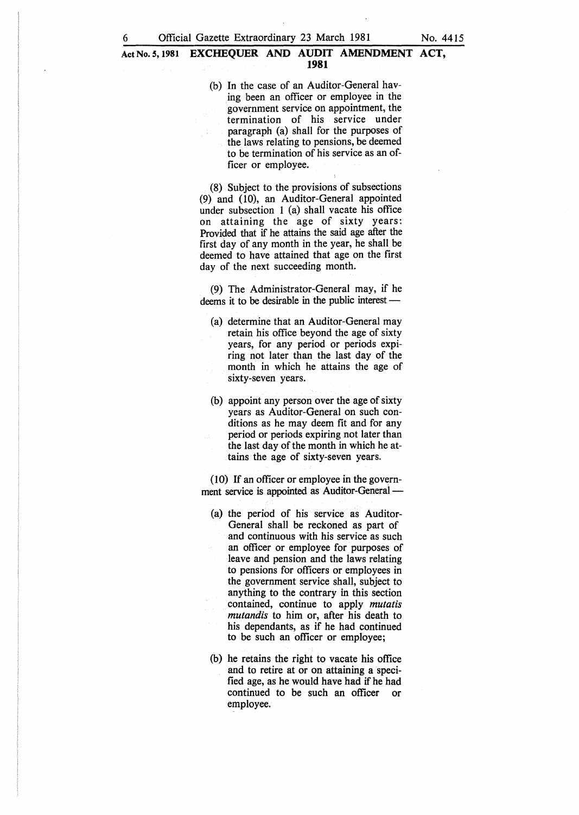#### Act No.5, 1981 EXCHEQUER AND AUDIT AMENDMENT ACT, 1981

(b) In the case of an Auditor-General having been an officer or employee in the government service on appointment, the termination of his service under paragraph (a) shall for the purposes of the laws relating to pensions, be deemed to be termination of his service as an officer or employee.

(8) Subject to the provisions of subsections (9) and (10), an Auditor-General appointed under subsection 1 (a) shall vacate his office on attaining the age of sixty years: Provided that if he attains the said age after the first day of any month in the year, he shall be deemed to have attained that age on the first day of the next succeeding month.

(9) The Administrator-General may, if he deems it to be desirable in the public interest -

- (a) determine that an Auditor-General may retain his office beyond the age of sixty years, for any period or periods expiring not later than the last day of the month in which he attains the age of sixty-seven years.
- (b) appoint any person over the age of sixty years as Auditor-General on such conditions as he may deem fit and for any period or periods expiring not later than the last day of the month in which he attains the age of sixty-seven years.

(10) If an officer or employee in the government service is appointed as Auditor-General-

- (a) the period of his service as Auditor-General shall be reckoned as part of and continuous with his service as such an officer or employee for purposes of leave and pension and the laws relating to pensions for officers or employees in the government service shall, subject to anything to the contrary in this section contained, continue to apply *mutatis mutandis* to him or, after his death to his dependants, as if he had continued to be such an officer or employee;
- (b) he retains the right to vacate his office and to retire at or on attaining a specified age, as he would have had if he had continued to be such an officer or employee.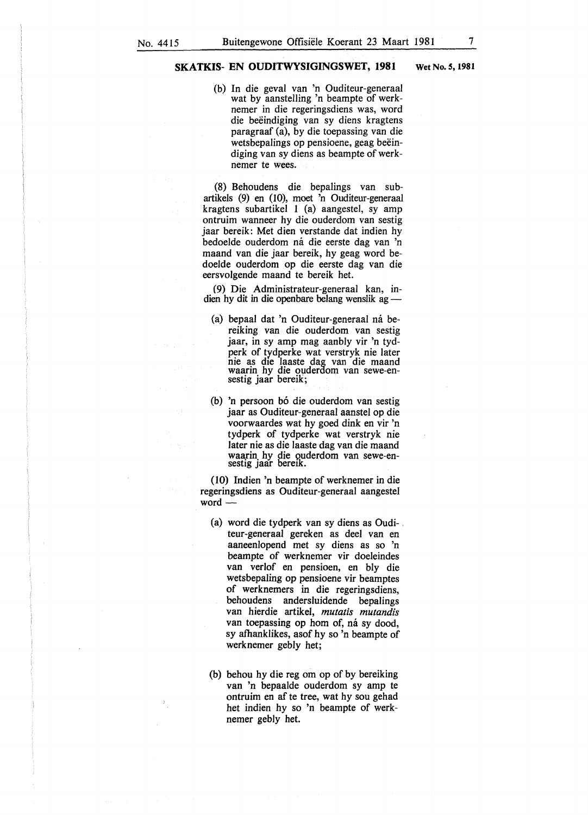#### SKATKIS- EN OUDITWYSIGINGSWET, 1981

(b) In die geval van 'n Ouditeur-generaal wat by aanstelling 'n beampte of werknemer in die regeringsdiens was, word die beëindiging van sy diens kragtens paragraaf (a), by die toepassing van die wetsbepalings op pensioene, geag beëindiging van sy diens as beampte of werknemer te wees.

(8) Behoudens die bepalings van subartikels (9) en (10), moet 'n Ouditeur-generaal kragtens subartikel 1 (a) aangestel, sy amp ontruim wanneer by die ouderdom van sestig jaar bereik: Met dien verstande dat indien by bedoelde ouderdom ná die eerste dag van 'n maand van die jaar bereik, hy geag word bedoelde ouderdom op die eerste dag van die eersvolgende maand te bereik het.

(9) Die Administrateur-generaal kan, indien hy dit in die openbare belang wenslik ag -

- (a) bepaal dat 'n Ouditeur-generaal na bereiking van die ouderdom van sestig jaar, in sy amp mag aanbly vir 'n tydperk of tydperke wat verstryk nie later nie as die laaste dag van die maand waarin by die ouderdom van sewe-ensestig jaar bereik;
- (b) 'n persoon b6 die ouderdom van sestig jaar as Ouditeur-generaal aanstel op die voorwaardes wat hy goed dink en vir 'n tydperk of tydperke wat verstryk nie later nie as die Iaaste dag van die maand waarin by die Quderdom van sewe-en-sestig jaar beretk.

(10) lndien 'n beampte of werknemer in die regeringsdiens as Ouditeur-generaal aangestel word $-$ 

- (a) word die tydperk van sy diens as Ouditeur-generaal gereken as deel van en aaneenlopend met sy diens as so 'n beampte of werknemer vir doeleindes van verlof en pensioen, en bly die wetsbepaling op pensioene vir beamptes of werknemers in die regeringsdiens, behoudens andersluidende bepalings van hierdie artikel, *mutatis mutandis*  van toepassing op hom of, ná sy dood, sy afhanklikes, asof by so 'n beampte of werknemer gebly het;
- (b) behou by die reg om op of by bereiking van 'n bepaalde ouderdom sy amp te ontruim en af te tree, wat hy sou gehad bet indien by so 'n beampte of werknemer gebly het.

Wet *No.5,* 1981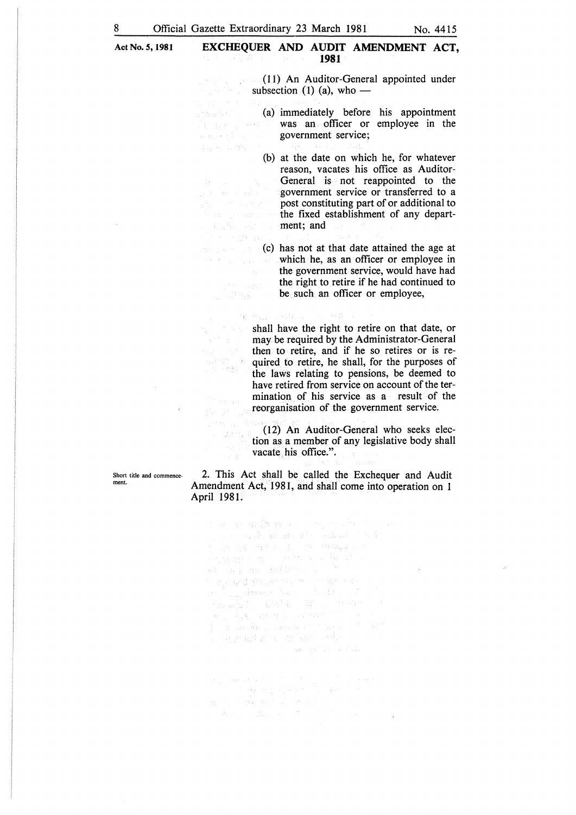an an Salaman.<br>An t-Alban East Co. 35

 $\alpha$  , and  $\alpha$  ,  $\beta$ an e a she

an Maria III<br>An Aonaich

1920년<br>19일 - 대한민국의 1931년<br>19일 - 대한민국의 1931년

in tiga in the giga

#### Act No. 5, 1981 **EXCHEQUER AND AUDIT AMENDMENT ACT, 1981**

(11) An Auditor-General appointed under  $(11)$  An Auditor-Genera<br>subsection (1) (a), who —

(a) immediately before his appointment<br>was an officer or employee in the was an officer or employee in the government service;

> (b) at the date on which he, for whatever reason, vacates his office as Auditor-General is not reappointed to the government service or transferred to a post constituting part of or additional to the fixed establishment of any department; and

(c) has not at that date attained the age at which he, as an officer or employee in  $\mathcal{D}^{\mathcal{L}}(T)$  ,  $\mathcal{L}^{\mathcal{L}}(T)$  ,  $\mathcal{L}^{\mathcal{L}}(T)$  ,  $\mathcal{D}^{\mathcal{L}}$ the government service, would have had the right to retire if he had continued to be such an officer or employee,

> shall have the right to retire on that date, or may be required by the Administrator-General then to retire, and if he so retires or is required to retire, he shall, for the purposes of the laws relating to pensions, be deemed to have retired from service on account of the termination of his service as a result of the reorganisation of the government service.

(12) An Auditor-General who seeks elec- $\mathbb{Z}^{2m+1}$ tion as a member of any legislative body shall vacate his office.".

2. This Act shall be called the Exchequer and Audit Amendment Act, 1981, and shall come into operation on 1 April 1981.

of a milk and the state of the The company and an extra complete the pro-an an sheachtair a' <sup>a</sup>n a sa na khuja wa kata mwezi<br>Alikuwa wilai wa miasa jamihu

 $\label{eq:2} \begin{split} \mathcal{E}_{\text{Lip}}(\mathcal{A}^{\text{Lip}}_{\text{Lip}}(\mathcal{A}^{\text{Lip}}_{\text{Lip}}(\mathcal{A}^{\text{Lip}}_{\text{Lip}})) = \mathcal{E}_{\text{Lip}}(\mathcal{A}^{\text{Lip}}_{\text{Lip}}(\mathcal{A}^{\text{Lip}}_{\text{Lip}})) \mathcal{E}_{\text{Lip}}(\mathcal{A}^{\text{Lip}}_{\text{Lip}}(\mathcal{A}^{\text{Lip}}_{\text{Lip}}(\mathcal{A}^{\text{Lip}}_{\text{Lip}})) = \mathcal{E}_{\$  $\sim$  1.

Short title and commence**ment.**